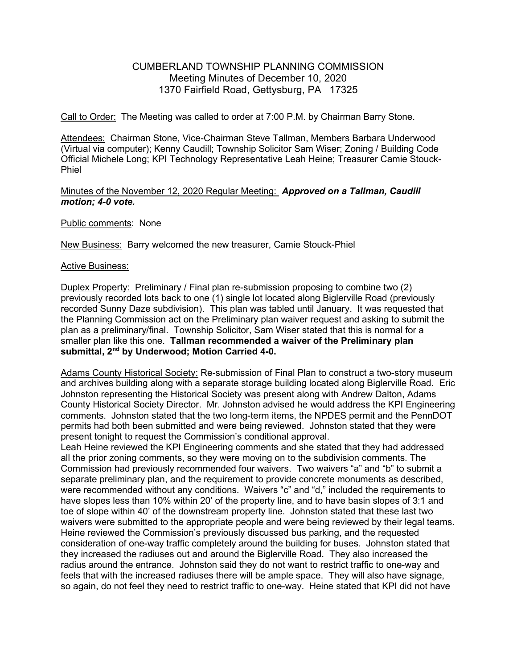## CUMBERLAND TOWNSHIP PLANNING COMMISSION Meeting Minutes of December 10, 2020 1370 Fairfield Road, Gettysburg, PA 17325

Call to Order: The Meeting was called to order at 7:00 P.M. by Chairman Barry Stone.

Attendees: Chairman Stone, Vice-Chairman Steve Tallman, Members Barbara Underwood (Virtual via computer); Kenny Caudill; Township Solicitor Sam Wiser; Zoning / Building Code Official Michele Long; KPI Technology Representative Leah Heine; Treasurer Camie Stouck-Phiel

## Minutes of the November 12, 2020 Regular Meeting: Approved on a Tallman, Caudill motion; 4-0 vote.

Public comments: None

New Business: Barry welcomed the new treasurer, Camie Stouck-Phiel

## Active Business:

Duplex Property: Preliminary / Final plan re-submission proposing to combine two (2) previously recorded lots back to one (1) single lot located along Biglerville Road (previously recorded Sunny Daze subdivision). This plan was tabled until January. It was requested that the Planning Commission act on the Preliminary plan waiver request and asking to submit the plan as a preliminary/final. Township Solicitor, Sam Wiser stated that this is normal for a smaller plan like this one. Tallman recommended a waiver of the Preliminary plan submittal, 2<sup>nd</sup> by Underwood; Motion Carried 4-0.

Adams County Historical Society: Re-submission of Final Plan to construct a two-story museum and archives building along with a separate storage building located along Biglerville Road. Eric Johnston representing the Historical Society was present along with Andrew Dalton, Adams County Historical Society Director. Mr. Johnston advised he would address the KPI Engineering comments. Johnston stated that the two long-term items, the NPDES permit and the PennDOT permits had both been submitted and were being reviewed. Johnston stated that they were present tonight to request the Commission's conditional approval.

Leah Heine reviewed the KPI Engineering comments and she stated that they had addressed all the prior zoning comments, so they were moving on to the subdivision comments. The Commission had previously recommended four waivers. Two waivers "a" and "b" to submit a separate preliminary plan, and the requirement to provide concrete monuments as described, were recommended without any conditions. Waivers "c" and "d," included the requirements to have slopes less than 10% within 20' of the property line, and to have basin slopes of 3:1 and toe of slope within 40' of the downstream property line. Johnston stated that these last two waivers were submitted to the appropriate people and were being reviewed by their legal teams. Heine reviewed the Commission's previously discussed bus parking, and the requested consideration of one-way traffic completely around the building for buses. Johnston stated that they increased the radiuses out and around the Biglerville Road. They also increased the radius around the entrance. Johnston said they do not want to restrict traffic to one-way and feels that with the increased radiuses there will be ample space. They will also have signage, so again, do not feel they need to restrict traffic to one-way. Heine stated that KPI did not have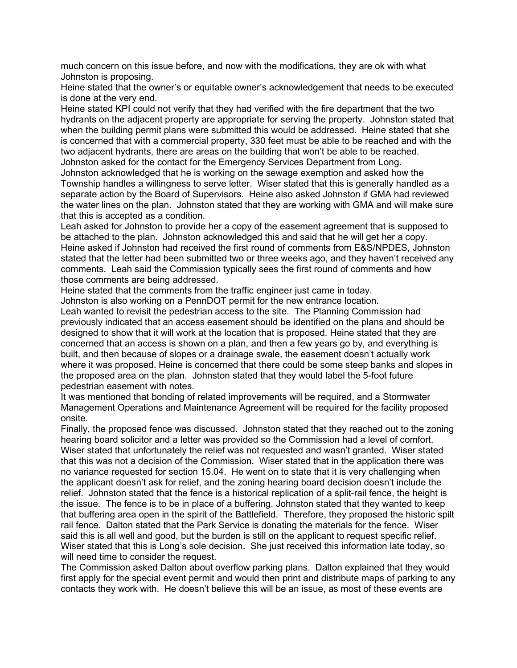much concern on this issue before, and now with the modifications, they are ok with what Johnston is proposing.

Heine stated that the owner's or equitable owner's acknowledgement that needs to be executed is done at the very end.

Heine stated KPI could not verify that they had verified with the fire department that the two hydrants on the adjacent property are appropriate for serving the property. Johnston stated that when the building permit plans were submitted this would be addressed. Heine stated that she is concerned that with a commercial property, 330 feet must be able to be reached and with the two adjacent hydrants, there are areas on the building that won't be able to be reached. Johnston asked for the contact for the Emergency Services Department from Long.

Johnston acknowledged that he is working on the sewage exemption and asked how the Township handles a willingness to serve letter. Wiser stated that this is generally handled as a separate action by the Board of Supervisors. Heine also asked Johnston if GMA had reviewed the water lines on the plan. Johnston stated that they are working with GMA and will make sure that this is accepted as a condition.

Leah asked for Johnston to provide her a copy of the easement agreement that is supposed to be attached to the plan. Johnston acknowledged this and said that he will get her a copy. Heine asked if Johnston had received the first round of comments from E&S/NPDES, Johnston stated that the letter had been submitted two or three weeks ago, and they haven't received any comments. Leah said the Commission typically sees the first round of comments and how those comments are being addressed.

Heine stated that the comments from the traffic engineer just came in today.

Johnston is also working on a PennDOT permit for the new entrance location.

Leah wanted to revisit the pedestrian access to the site. The Planning Commission had previously indicated that an access easement should be identified on the plans and should be designed to show that it will work at the location that is proposed. Heine stated that they are concerned that an access is shown on a plan, and then a few years go by, and everything is built, and then because of slopes or a drainage swale, the easement doesn't actually work where it was proposed. Heine is concerned that there could be some steep banks and slopes in the proposed area on the plan. Johnston stated that they would label the 5-foot future pedestrian easement with notes.

It was mentioned that bonding of related improvements will be required, and a Stormwater Management Operations and Maintenance Agreement will be required for the facility proposed onsite.

Finally, the proposed fence was discussed. Johnston stated that they reached out to the zoning hearing board solicitor and a letter was provided so the Commission had a level of comfort. Wiser stated that unfortunately the relief was not requested and wasn't granted. Wiser stated that this was not a decision of the Commission. Wiser stated that in the application there was no variance requested for section 15.04. He went on to state that it is very challenging when the applicant doesn't ask for relief, and the zoning hearing board decision doesn't include the relief. Johnston stated that the fence is a historical replication of a split-rail fence, the height is the issue. The fence is to be in place of a buffering. Johnston stated that they wanted to keep that buffering area open in the spirit of the Battlefield. Therefore, they proposed the historic spilt rail fence. Dalton stated that the Park Service is donating the materials for the fence. Wiser said this is all well and good, but the burden is still on the applicant to request specific relief. Wiser stated that this is Long's sole decision. She just received this information late today, so will need time to consider the request.

The Commission asked Dalton about overflow parking plans. Dalton explained that they would first apply for the special event permit and would then print and distribute maps of parking to any contacts they work with. He doesn't believe this will be an issue, as most of these events are